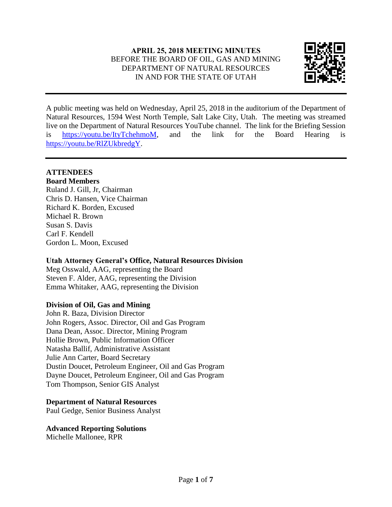

A public meeting was held on Wednesday, April 25, 2018 in the auditorium of the Department of Natural Resources, 1594 West North Temple, Salt Lake City, Utah. The meeting was streamed live on the Department of Natural Resources YouTube channel. The link for the Briefing Session is [https://youtu.be/ItyTchehmoM,](https://youtu.be/ItyTchehmoM) and the link for the Board Hearing is [https://youtu.be/RlZUkbredgY.](https://youtu.be/RlZUkbredgY)

## **ATTENDEES**

## **Board Members**

Ruland J. Gill, Jr, Chairman Chris D. Hansen, Vice Chairman Richard K. Borden, Excused Michael R. Brown Susan S. Davis Carl F. Kendell Gordon L. Moon, Excused

## **Utah Attorney General's Office, Natural Resources Division**

Meg Osswald, AAG, representing the Board Steven F. Alder, AAG, representing the Division Emma Whitaker, AAG, representing the Division

## **Division of Oil, Gas and Mining**

John R. Baza, Division Director John Rogers, Assoc. Director, Oil and Gas Program Dana Dean, Assoc. Director, Mining Program Hollie Brown, Public Information Officer Natasha Ballif, Administrative Assistant Julie Ann Carter, Board Secretary Dustin Doucet, Petroleum Engineer, Oil and Gas Program Dayne Doucet, Petroleum Engineer, Oil and Gas Program Tom Thompson, Senior GIS Analyst

## **Department of Natural Resources**

Paul Gedge, Senior Business Analyst

# **Advanced Reporting Solutions**

Michelle Mallonee, RPR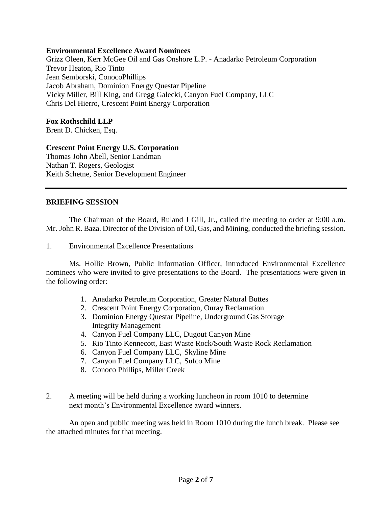#### **Environmental Excellence Award Nominees**

Grizz Oleen, Kerr McGee Oil and Gas Onshore L.P. - Anadarko Petroleum Corporation Trevor Heaton, Rio Tinto Jean Semborski, ConocoPhillips Jacob Abraham, Dominion Energy Questar Pipeline Vicky Miller, Bill King, and Gregg Galecki, Canyon Fuel Company, LLC Chris Del Hierro, Crescent Point Energy Corporation

#### **Fox Rothschild LLP**

Brent D. Chicken, Esq.

### **Crescent Point Energy U.S. Corporation**

Thomas John Abell, Senior Landman Nathan T. Rogers, Geologist Keith Schetne, Senior Development Engineer

#### **BRIEFING SESSION**

The Chairman of the Board, Ruland J Gill, Jr., called the meeting to order at 9:00 a.m. Mr. John R. Baza. Director of the Division of Oil, Gas, and Mining, conducted the briefing session.

1. Environmental Excellence Presentations

Ms. Hollie Brown, Public Information Officer, introduced Environmental Excellence nominees who were invited to give presentations to the Board. The presentations were given in the following order:

- 1. Anadarko Petroleum Corporation, Greater Natural Buttes
- 2. Crescent Point Energy Corporation, Ouray Reclamation
- 3. Dominion Energy Questar Pipeline, Underground Gas Storage Integrity Management
- 4. Canyon Fuel Company LLC, Dugout Canyon Mine
- 5. Rio Tinto Kennecott, East Waste Rock/South Waste Rock Reclamation
- 6. Canyon Fuel Company LLC, Skyline Mine
- 7. Canyon Fuel Company LLC, Sufco Mine
- 8. Conoco Phillips, Miller Creek
- 2. A meeting will be held during a working luncheon in room 1010 to determine next month's Environmental Excellence award winners.

An open and public meeting was held in Room 1010 during the lunch break. Please see the attached minutes for that meeting.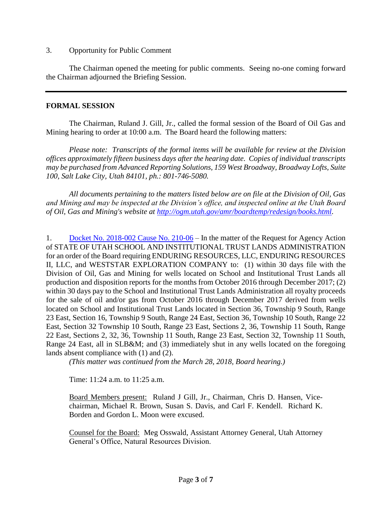#### 3. Opportunity for Public Comment

The Chairman opened the meeting for public comments. Seeing no-one coming forward the Chairman adjourned the Briefing Session.

#### **FORMAL SESSION**

The Chairman, Ruland J. Gill, Jr., called the formal session of the Board of Oil Gas and Mining hearing to order at 10:00 a.m. The Board heard the following matters:

*Please note: Transcripts of the formal items will be available for review at the Division offices approximately fifteen business days after the hearing date. Copies of individual transcripts may be purchased from Advanced Reporting Solutions, 159 West Broadway, Broadway Lofts, Suite 100, Salt Lake City, Utah 84101, ph.: 801-746-5080.*

*All documents pertaining to the matters listed below are on file at the Division of Oil, Gas and Mining and may be inspected at the Division's office, and inspected online at the Utah Board of Oil, Gas and Mining's website at [http://ogm.utah.gov/amr/boardtemp/redesign/books.html.](http://ogm.utah.gov/amr/boardtemp/redesign/books.html)*

1. [Docket No. 2018-002 Cause No. 210-06](http://ogm.utah.gov/amr/boardtemp/redesign/2018/04_Apr/Dockets/2018-002_210-06_SITLA.php) – In the matter of the Request for Agency Action of STATE OF UTAH SCHOOL AND INSTITUTIONAL TRUST LANDS ADMINISTRATION for an order of the Board requiring ENDURING RESOURCES, LLC, ENDURING RESOURCES II, LLC, and WESTSTAR EXPLORATION COMPANY to: (1) within 30 days file with the Division of Oil, Gas and Mining for wells located on School and Institutional Trust Lands all production and disposition reports for the months from October 2016 through December 2017; (2) within 30 days pay to the School and Institutional Trust Lands Administration all royalty proceeds for the sale of oil and/or gas from October 2016 through December 2017 derived from wells located on School and Institutional Trust Lands located in Section 36, Township 9 South, Range 23 East, Section 16, Township 9 South, Range 24 East, Section 36, Township 10 South, Range 22 East, Section 32 Township 10 South, Range 23 East, Sections 2, 36, Township 11 South, Range 22 East, Sections 2, 32, 36, Township 11 South, Range 23 East, Section 32, Township 11 South, Range 24 East, all in SLB&M; and (3) immediately shut in any wells located on the foregoing lands absent compliance with (1) and (2).

*(This matter was continued from the March 28, 2018, Board hearing.)*

Time: 11:24 a.m. to 11:25 a.m.

Board Members present: Ruland J Gill, Jr., Chairman, Chris D. Hansen, Vicechairman, Michael R. Brown, Susan S. Davis, and Carl F. Kendell. Richard K. Borden and Gordon L. Moon were excused.

Counsel for the Board: Meg Osswald, Assistant Attorney General, Utah Attorney General's Office, Natural Resources Division.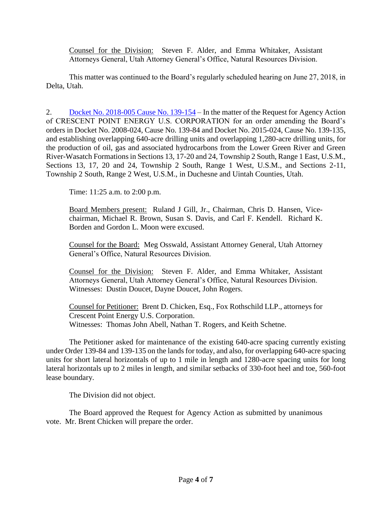Counsel for the Division: Steven F. Alder, and Emma Whitaker, Assistant Attorneys General, Utah Attorney General's Office, Natural Resources Division.

This matter was continued to the Board's regularly scheduled hearing on June 27, 2018, in Delta, Utah.

2. [Docket No. 2018-005 Cause No. 139-154](http://ogm.utah.gov/amr/boardtemp/redesign/2018/04_Apr/Dockets/2018-005_139-154_Crescent.php) – In the matter of the Request for Agency Action of CRESCENT POINT ENERGY U.S. CORPORATION for an order amending the Board's orders in Docket No. 2008-024, Cause No. 139-84 and Docket No. 2015-024, Cause No. 139-135, and establishing overlapping 640-acre drilling units and overlapping 1,280-acre drilling units, for the production of oil, gas and associated hydrocarbons from the Lower Green River and Green River-Wasatch Formations in Sections 13, 17-20 and 24, Township 2 South, Range 1 East, U.S.M., Sections 13, 17, 20 and 24, Township 2 South, Range 1 West, U.S.M., and Sections 2-11, Township 2 South, Range 2 West, U.S.M., in Duchesne and Uintah Counties, Utah.

Time: 11:25 a.m. to 2:00 p.m.

Board Members present: Ruland J Gill, Jr., Chairman, Chris D. Hansen, Vicechairman, Michael R. Brown, Susan S. Davis, and Carl F. Kendell. Richard K. Borden and Gordon L. Moon were excused.

Counsel for the Board: Meg Osswald, Assistant Attorney General, Utah Attorney General's Office, Natural Resources Division.

Counsel for the Division: Steven F. Alder, and Emma Whitaker, Assistant Attorneys General, Utah Attorney General's Office, Natural Resources Division. Witnesses: Dustin Doucet, Dayne Doucet, John Rogers.

Counsel for Petitioner: Brent D. Chicken, Esq., Fox Rothschild LLP., attorneys for Crescent Point Energy U.S. Corporation. Witnesses: Thomas John Abell, Nathan T. Rogers, and Keith Schetne.

The Petitioner asked for maintenance of the existing 640-acre spacing currently existing under Order 139-84 and 139-135 on the lands for today, and also, for overlapping 640-acre spacing units for short lateral horizontals of up to 1 mile in length and 1280-acre spacing units for long lateral horizontals up to 2 miles in length, and similar setbacks of 330-foot heel and toe, 560-foot lease boundary.

The Division did not object.

The Board approved the Request for Agency Action as submitted by unanimous vote. Mr. Brent Chicken will prepare the order.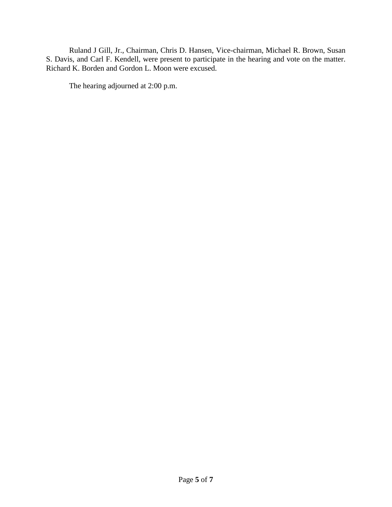Ruland J Gill, Jr., Chairman, Chris D. Hansen, Vice-chairman, Michael R. Brown, Susan S. Davis, and Carl F. Kendell, were present to participate in the hearing and vote on the matter. Richard K. Borden and Gordon L. Moon were excused.

The hearing adjourned at 2:00 p.m.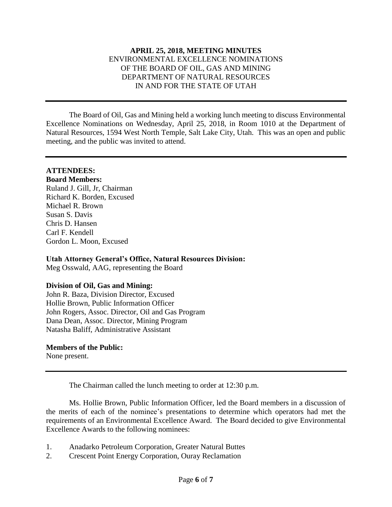## **APRIL 25, 2018, MEETING MINUTES** ENVIRONMENTAL EXCELLENCE NOMINATIONS OF THE BOARD OF OIL, GAS AND MINING DEPARTMENT OF NATURAL RESOURCES IN AND FOR THE STATE OF UTAH

The Board of Oil, Gas and Mining held a working lunch meeting to discuss Environmental Excellence Nominations on Wednesday, April 25, 2018, in Room 1010 at the Department of Natural Resources, 1594 West North Temple, Salt Lake City, Utah. This was an open and public meeting, and the public was invited to attend.

## **ATTENDEES:**

**Board Members:** Ruland J. Gill, Jr, Chairman Richard K. Borden, Excused Michael R. Brown Susan S. Davis Chris D. Hansen Carl F. Kendell Gordon L. Moon, Excused

**Utah Attorney General's Office, Natural Resources Division:** Meg Osswald, AAG, representing the Board

# **Division of Oil, Gas and Mining:**

John R. Baza, Division Director, Excused Hollie Brown, Public Information Officer John Rogers, Assoc. Director, Oil and Gas Program Dana Dean, Assoc. Director, Mining Program Natasha Baliff, Administrative Assistant

#### **Members of the Public:**

None present.

The Chairman called the lunch meeting to order at 12:30 p.m.

Ms. Hollie Brown, Public Information Officer, led the Board members in a discussion of the merits of each of the nominee's presentations to determine which operators had met the requirements of an Environmental Excellence Award. The Board decided to give Environmental Excellence Awards to the following nominees:

- 1. Anadarko Petroleum Corporation, Greater Natural Buttes
- 2. Crescent Point Energy Corporation, Ouray Reclamation